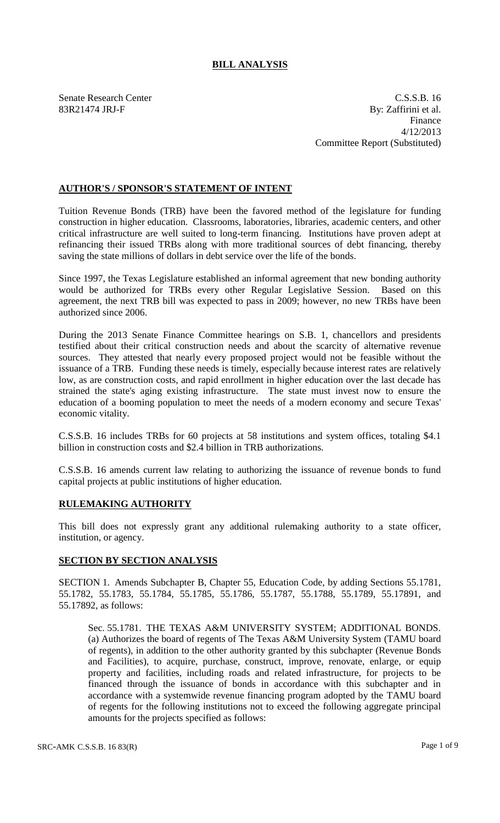## **BILL ANALYSIS**

Senate Research Center Casses and C.S.S.B. 16 83R21474 JRJ-F By: Zaffirini et al. Finance 4/12/2013 Committee Report (Substituted)

## **AUTHOR'S / SPONSOR'S STATEMENT OF INTENT**

Tuition Revenue Bonds (TRB) have been the favored method of the legislature for funding construction in higher education. Classrooms, laboratories, libraries, academic centers, and other critical infrastructure are well suited to long-term financing. Institutions have proven adept at refinancing their issued TRBs along with more traditional sources of debt financing, thereby saving the state millions of dollars in debt service over the life of the bonds.

Since 1997, the Texas Legislature established an informal agreement that new bonding authority would be authorized for TRBs every other Regular Legislative Session. Based on this agreement, the next TRB bill was expected to pass in 2009; however, no new TRBs have been authorized since 2006.

During the 2013 Senate Finance Committee hearings on S.B. 1, chancellors and presidents testified about their critical construction needs and about the scarcity of alternative revenue sources. They attested that nearly every proposed project would not be feasible without the issuance of a TRB. Funding these needs is timely, especially because interest rates are relatively low, as are construction costs, and rapid enrollment in higher education over the last decade has strained the state's aging existing infrastructure. The state must invest now to ensure the education of a booming population to meet the needs of a modern economy and secure Texas' economic vitality.

C.S.S.B. 16 includes TRBs for 60 projects at 58 institutions and system offices, totaling \$4.1 billion in construction costs and \$2.4 billion in TRB authorizations.

C.S.S.B. 16 amends current law relating to authorizing the issuance of revenue bonds to fund capital projects at public institutions of higher education.

## **RULEMAKING AUTHORITY**

This bill does not expressly grant any additional rulemaking authority to a state officer, institution, or agency.

## **SECTION BY SECTION ANALYSIS**

SECTION 1. Amends Subchapter B, Chapter 55, Education Code, by adding Sections 55.1781, 55.1782, 55.1783, 55.1784, 55.1785, 55.1786, 55.1787, 55.1788, 55.1789, 55.17891, and 55.17892, as follows:

Sec. 55.1781. THE TEXAS A&M UNIVERSITY SYSTEM; ADDITIONAL BONDS. (a) Authorizes the board of regents of The Texas A&M University System (TAMU board of regents), in addition to the other authority granted by this subchapter (Revenue Bonds and Facilities), to acquire, purchase, construct, improve, renovate, enlarge, or equip property and facilities, including roads and related infrastructure, for projects to be financed through the issuance of bonds in accordance with this subchapter and in accordance with a systemwide revenue financing program adopted by the TAMU board of regents for the following institutions not to exceed the following aggregate principal amounts for the projects specified as follows: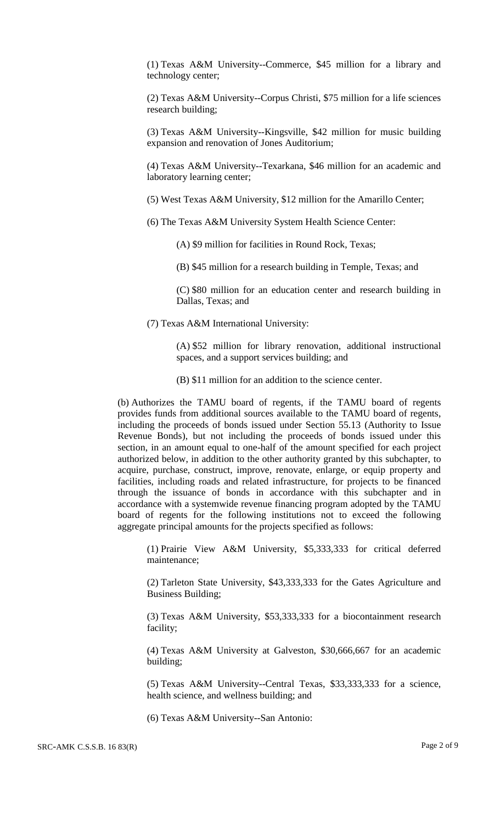(1) Texas A&M University--Commerce, \$45 million for a library and technology center;

(2) Texas A&M University--Corpus Christi, \$75 million for a life sciences research building;

(3) Texas A&M University--Kingsville, \$42 million for music building expansion and renovation of Jones Auditorium;

(4) Texas A&M University--Texarkana, \$46 million for an academic and laboratory learning center;

(5) West Texas A&M University, \$12 million for the Amarillo Center;

(6) The Texas A&M University System Health Science Center:

(A) \$9 million for facilities in Round Rock, Texas;

(B) \$45 million for a research building in Temple, Texas; and

(C) \$80 million for an education center and research building in Dallas, Texas; and

(7) Texas A&M International University:

(A) \$52 million for library renovation, additional instructional spaces, and a support services building; and

(B) \$11 million for an addition to the science center.

(b) Authorizes the TAMU board of regents, if the TAMU board of regents provides funds from additional sources available to the TAMU board of regents, including the proceeds of bonds issued under Section 55.13 (Authority to Issue Revenue Bonds), but not including the proceeds of bonds issued under this section, in an amount equal to one-half of the amount specified for each project authorized below, in addition to the other authority granted by this subchapter, to acquire, purchase, construct, improve, renovate, enlarge, or equip property and facilities, including roads and related infrastructure, for projects to be financed through the issuance of bonds in accordance with this subchapter and in accordance with a systemwide revenue financing program adopted by the TAMU board of regents for the following institutions not to exceed the following aggregate principal amounts for the projects specified as follows:

(1) Prairie View A&M University, \$5,333,333 for critical deferred maintenance;

(2) Tarleton State University, \$43,333,333 for the Gates Agriculture and Business Building;

(3) Texas A&M University, \$53,333,333 for a biocontainment research facility;

(4) Texas A&M University at Galveston, \$30,666,667 for an academic building;

(5) Texas A&M University--Central Texas, \$33,333,333 for a science, health science, and wellness building; and

(6) Texas A&M University--San Antonio: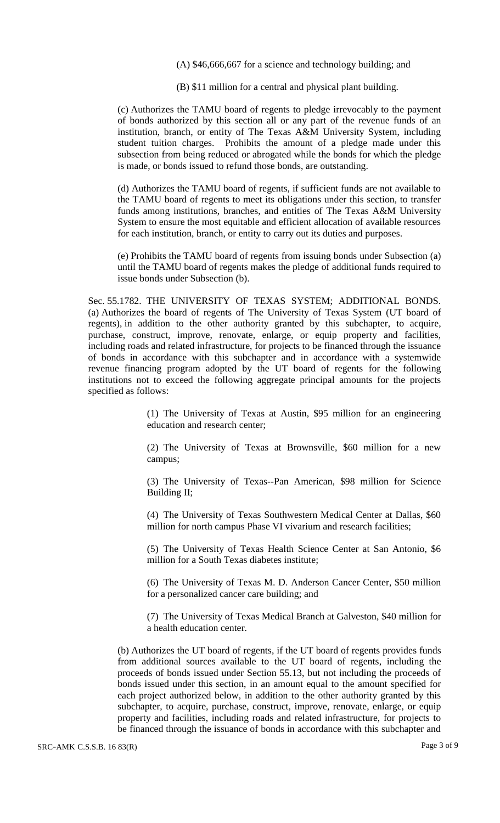(A) \$46,666,667 for a science and technology building; and

(B) \$11 million for a central and physical plant building.

(c) Authorizes the TAMU board of regents to pledge irrevocably to the payment of bonds authorized by this section all or any part of the revenue funds of an institution, branch, or entity of The Texas A&M University System, including student tuition charges. Prohibits the amount of a pledge made under this subsection from being reduced or abrogated while the bonds for which the pledge is made, or bonds issued to refund those bonds, are outstanding.

(d) Authorizes the TAMU board of regents, if sufficient funds are not available to the TAMU board of regents to meet its obligations under this section, to transfer funds among institutions, branches, and entities of The Texas A&M University System to ensure the most equitable and efficient allocation of available resources for each institution, branch, or entity to carry out its duties and purposes.

(e) Prohibits the TAMU board of regents from issuing bonds under Subsection (a) until the TAMU board of regents makes the pledge of additional funds required to issue bonds under Subsection (b).

Sec. 55.1782. THE UNIVERSITY OF TEXAS SYSTEM; ADDITIONAL BONDS. (a) Authorizes the board of regents of The University of Texas System (UT board of regents), in addition to the other authority granted by this subchapter, to acquire, purchase, construct, improve, renovate, enlarge, or equip property and facilities, including roads and related infrastructure, for projects to be financed through the issuance of bonds in accordance with this subchapter and in accordance with a systemwide revenue financing program adopted by the UT board of regents for the following institutions not to exceed the following aggregate principal amounts for the projects specified as follows:

> (1) The University of Texas at Austin, \$95 million for an engineering education and research center;

> (2) The University of Texas at Brownsville, \$60 million for a new campus;

> (3) The University of Texas--Pan American, \$98 million for Science Building II;

> (4) The University of Texas Southwestern Medical Center at Dallas, \$60 million for north campus Phase VI vivarium and research facilities;

> (5) The University of Texas Health Science Center at San Antonio, \$6 million for a South Texas diabetes institute;

> (6) The University of Texas M. D. Anderson Cancer Center, \$50 million for a personalized cancer care building; and

> (7) The University of Texas Medical Branch at Galveston, \$40 million for a health education center.

(b) Authorizes the UT board of regents, if the UT board of regents provides funds from additional sources available to the UT board of regents, including the proceeds of bonds issued under Section 55.13, but not including the proceeds of bonds issued under this section, in an amount equal to the amount specified for each project authorized below, in addition to the other authority granted by this subchapter, to acquire, purchase, construct, improve, renovate, enlarge, or equip property and facilities, including roads and related infrastructure, for projects to be financed through the issuance of bonds in accordance with this subchapter and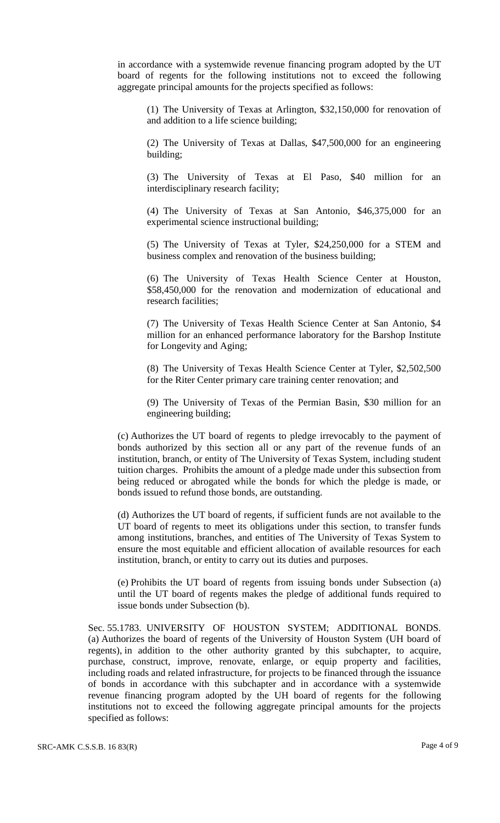in accordance with a systemwide revenue financing program adopted by the UT board of regents for the following institutions not to exceed the following aggregate principal amounts for the projects specified as follows:

(1) The University of Texas at Arlington, \$32,150,000 for renovation of and addition to a life science building;

(2) The University of Texas at Dallas, \$47,500,000 for an engineering building;

(3) The University of Texas at El Paso, \$40 million for an interdisciplinary research facility;

(4) The University of Texas at San Antonio, \$46,375,000 for an experimental science instructional building;

(5) The University of Texas at Tyler, \$24,250,000 for a STEM and business complex and renovation of the business building;

(6) The University of Texas Health Science Center at Houston, \$58,450,000 for the renovation and modernization of educational and research facilities;

(7) The University of Texas Health Science Center at San Antonio, \$4 million for an enhanced performance laboratory for the Barshop Institute for Longevity and Aging;

(8) The University of Texas Health Science Center at Tyler, \$2,502,500 for the Riter Center primary care training center renovation; and

(9) The University of Texas of the Permian Basin, \$30 million for an engineering building;

(c) Authorizes the UT board of regents to pledge irrevocably to the payment of bonds authorized by this section all or any part of the revenue funds of an institution, branch, or entity of The University of Texas System, including student tuition charges. Prohibits the amount of a pledge made under this subsection from being reduced or abrogated while the bonds for which the pledge is made, or bonds issued to refund those bonds, are outstanding.

(d) Authorizes the UT board of regents, if sufficient funds are not available to the UT board of regents to meet its obligations under this section, to transfer funds among institutions, branches, and entities of The University of Texas System to ensure the most equitable and efficient allocation of available resources for each institution, branch, or entity to carry out its duties and purposes.

(e) Prohibits the UT board of regents from issuing bonds under Subsection (a) until the UT board of regents makes the pledge of additional funds required to issue bonds under Subsection (b).

Sec. 55.1783. UNIVERSITY OF HOUSTON SYSTEM; ADDITIONAL BONDS. (a) Authorizes the board of regents of the University of Houston System (UH board of regents), in addition to the other authority granted by this subchapter, to acquire, purchase, construct, improve, renovate, enlarge, or equip property and facilities, including roads and related infrastructure, for projects to be financed through the issuance of bonds in accordance with this subchapter and in accordance with a systemwide revenue financing program adopted by the UH board of regents for the following institutions not to exceed the following aggregate principal amounts for the projects specified as follows: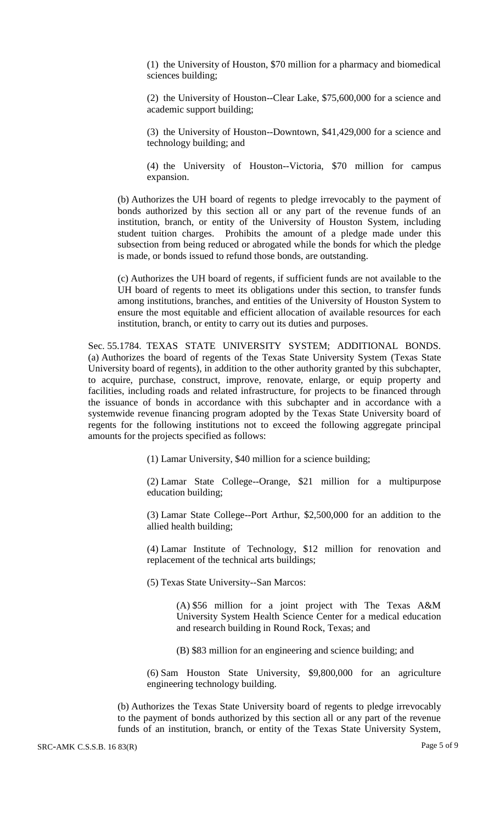(1) the University of Houston, \$70 million for a pharmacy and biomedical sciences building;

(2) the University of Houston--Clear Lake, \$75,600,000 for a science and academic support building;

(3) the University of Houston--Downtown, \$41,429,000 for a science and technology building; and

(4) the University of Houston--Victoria, \$70 million for campus expansion.

(b) Authorizes the UH board of regents to pledge irrevocably to the payment of bonds authorized by this section all or any part of the revenue funds of an institution, branch, or entity of the University of Houston System, including student tuition charges. Prohibits the amount of a pledge made under this subsection from being reduced or abrogated while the bonds for which the pledge is made, or bonds issued to refund those bonds, are outstanding.

(c) Authorizes the UH board of regents, if sufficient funds are not available to the UH board of regents to meet its obligations under this section, to transfer funds among institutions, branches, and entities of the University of Houston System to ensure the most equitable and efficient allocation of available resources for each institution, branch, or entity to carry out its duties and purposes.

Sec. 55.1784. TEXAS STATE UNIVERSITY SYSTEM; ADDITIONAL BONDS. (a) Authorizes the board of regents of the Texas State University System (Texas State University board of regents), in addition to the other authority granted by this subchapter, to acquire, purchase, construct, improve, renovate, enlarge, or equip property and facilities, including roads and related infrastructure, for projects to be financed through the issuance of bonds in accordance with this subchapter and in accordance with a systemwide revenue financing program adopted by the Texas State University board of regents for the following institutions not to exceed the following aggregate principal amounts for the projects specified as follows:

(1) Lamar University, \$40 million for a science building;

(2) Lamar State College--Orange, \$21 million for a multipurpose education building;

(3) Lamar State College--Port Arthur, \$2,500,000 for an addition to the allied health building;

(4) Lamar Institute of Technology, \$12 million for renovation and replacement of the technical arts buildings;

(5) Texas State University--San Marcos:

(A) \$56 million for a joint project with The Texas A&M University System Health Science Center for a medical education and research building in Round Rock, Texas; and

(B) \$83 million for an engineering and science building; and

(6) Sam Houston State University, \$9,800,000 for an agriculture engineering technology building.

(b) Authorizes the Texas State University board of regents to pledge irrevocably to the payment of bonds authorized by this section all or any part of the revenue funds of an institution, branch, or entity of the Texas State University System,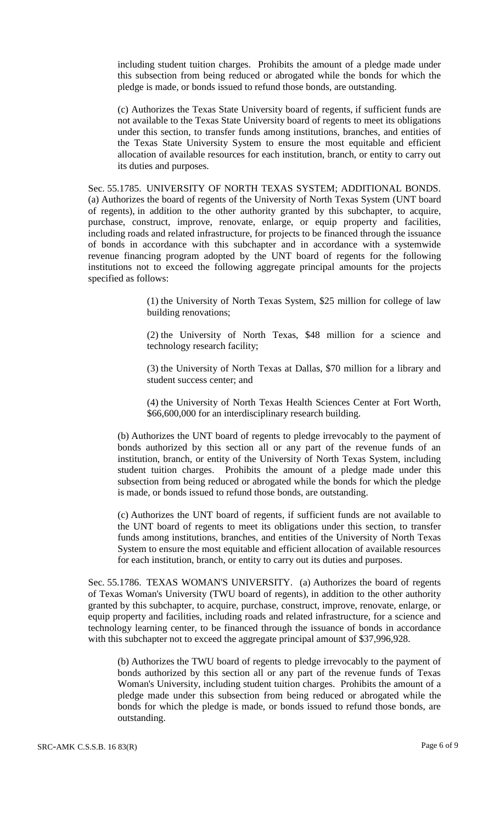including student tuition charges. Prohibits the amount of a pledge made under this subsection from being reduced or abrogated while the bonds for which the pledge is made, or bonds issued to refund those bonds, are outstanding.

(c) Authorizes the Texas State University board of regents, if sufficient funds are not available to the Texas State University board of regents to meet its obligations under this section, to transfer funds among institutions, branches, and entities of the Texas State University System to ensure the most equitable and efficient allocation of available resources for each institution, branch, or entity to carry out its duties and purposes.

Sec. 55.1785. UNIVERSITY OF NORTH TEXAS SYSTEM; ADDITIONAL BONDS. (a) Authorizes the board of regents of the University of North Texas System (UNT board of regents), in addition to the other authority granted by this subchapter, to acquire, purchase, construct, improve, renovate, enlarge, or equip property and facilities, including roads and related infrastructure, for projects to be financed through the issuance of bonds in accordance with this subchapter and in accordance with a systemwide revenue financing program adopted by the UNT board of regents for the following institutions not to exceed the following aggregate principal amounts for the projects specified as follows:

> (1) the University of North Texas System, \$25 million for college of law building renovations;

> (2) the University of North Texas, \$48 million for a science and technology research facility;

> (3) the University of North Texas at Dallas, \$70 million for a library and student success center; and

> (4) the University of North Texas Health Sciences Center at Fort Worth, \$66,600,000 for an interdisciplinary research building.

(b) Authorizes the UNT board of regents to pledge irrevocably to the payment of bonds authorized by this section all or any part of the revenue funds of an institution, branch, or entity of the University of North Texas System, including student tuition charges. Prohibits the amount of a pledge made under this subsection from being reduced or abrogated while the bonds for which the pledge is made, or bonds issued to refund those bonds, are outstanding.

(c) Authorizes the UNT board of regents, if sufficient funds are not available to the UNT board of regents to meet its obligations under this section, to transfer funds among institutions, branches, and entities of the University of North Texas System to ensure the most equitable and efficient allocation of available resources for each institution, branch, or entity to carry out its duties and purposes.

Sec. 55.1786. TEXAS WOMAN'S UNIVERSITY. (a) Authorizes the board of regents of Texas Woman's University (TWU board of regents), in addition to the other authority granted by this subchapter, to acquire, purchase, construct, improve, renovate, enlarge, or equip property and facilities, including roads and related infrastructure, for a science and technology learning center, to be financed through the issuance of bonds in accordance with this subchapter not to exceed the aggregate principal amount of \$37,996,928.

(b) Authorizes the TWU board of regents to pledge irrevocably to the payment of bonds authorized by this section all or any part of the revenue funds of Texas Woman's University, including student tuition charges. Prohibits the amount of a pledge made under this subsection from being reduced or abrogated while the bonds for which the pledge is made, or bonds issued to refund those bonds, are outstanding.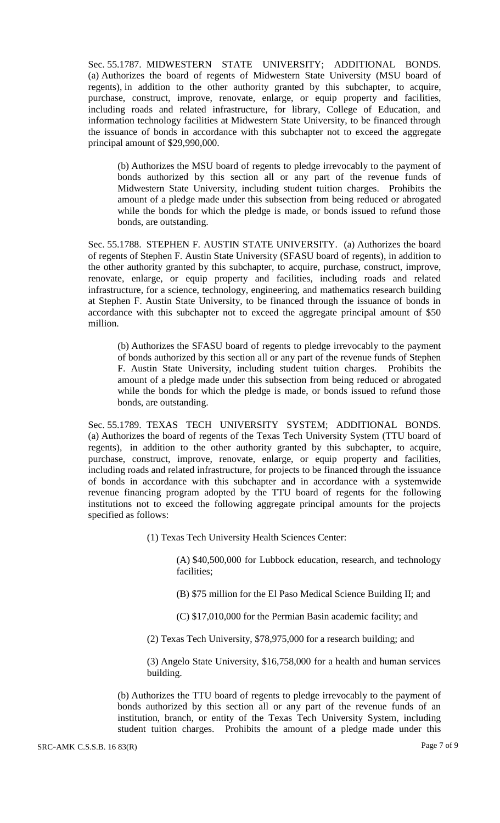Sec. 55.1787. MIDWESTERN STATE UNIVERSITY; ADDITIONAL BONDS. (a) Authorizes the board of regents of Midwestern State University (MSU board of regents), in addition to the other authority granted by this subchapter, to acquire, purchase, construct, improve, renovate, enlarge, or equip property and facilities, including roads and related infrastructure, for library, College of Education, and information technology facilities at Midwestern State University, to be financed through the issuance of bonds in accordance with this subchapter not to exceed the aggregate principal amount of \$29,990,000.

(b) Authorizes the MSU board of regents to pledge irrevocably to the payment of bonds authorized by this section all or any part of the revenue funds of Midwestern State University, including student tuition charges. Prohibits the amount of a pledge made under this subsection from being reduced or abrogated while the bonds for which the pledge is made, or bonds issued to refund those bonds, are outstanding.

Sec. 55.1788. STEPHEN F. AUSTIN STATE UNIVERSITY. (a) Authorizes the board of regents of Stephen F. Austin State University (SFASU board of regents), in addition to the other authority granted by this subchapter, to acquire, purchase, construct, improve, renovate, enlarge, or equip property and facilities, including roads and related infrastructure, for a science, technology, engineering, and mathematics research building at Stephen F. Austin State University, to be financed through the issuance of bonds in accordance with this subchapter not to exceed the aggregate principal amount of \$50 million.

(b) Authorizes the SFASU board of regents to pledge irrevocably to the payment of bonds authorized by this section all or any part of the revenue funds of Stephen F. Austin State University, including student tuition charges. Prohibits the amount of a pledge made under this subsection from being reduced or abrogated while the bonds for which the pledge is made, or bonds issued to refund those bonds, are outstanding.

Sec. 55.1789. TEXAS TECH UNIVERSITY SYSTEM; ADDITIONAL BONDS. (a) Authorizes the board of regents of the Texas Tech University System (TTU board of regents), in addition to the other authority granted by this subchapter, to acquire, purchase, construct, improve, renovate, enlarge, or equip property and facilities, including roads and related infrastructure, for projects to be financed through the issuance of bonds in accordance with this subchapter and in accordance with a systemwide revenue financing program adopted by the TTU board of regents for the following institutions not to exceed the following aggregate principal amounts for the projects specified as follows:

(1) Texas Tech University Health Sciences Center:

(A) \$40,500,000 for Lubbock education, research, and technology facilities;

(B) \$75 million for the El Paso Medical Science Building II; and

(C) \$17,010,000 for the Permian Basin academic facility; and

(2) Texas Tech University, \$78,975,000 for a research building; and

(3) Angelo State University, \$16,758,000 for a health and human services building.

(b) Authorizes the TTU board of regents to pledge irrevocably to the payment of bonds authorized by this section all or any part of the revenue funds of an institution, branch, or entity of the Texas Tech University System, including student tuition charges. Prohibits the amount of a pledge made under this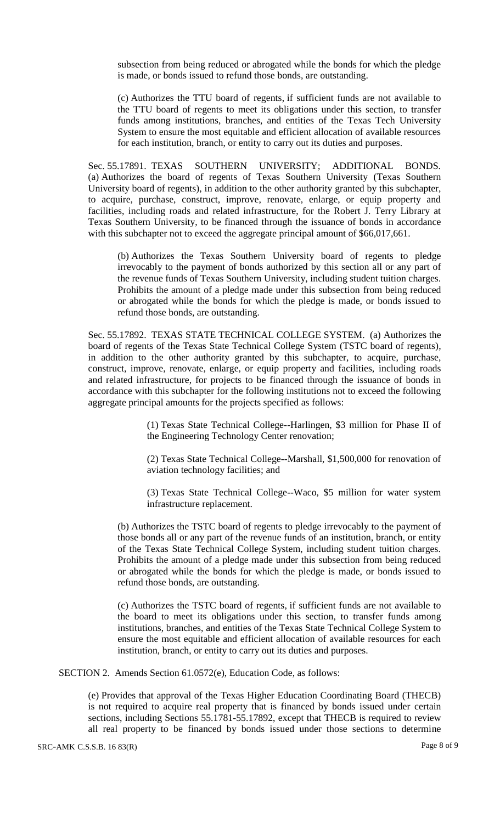subsection from being reduced or abrogated while the bonds for which the pledge is made, or bonds issued to refund those bonds, are outstanding.

(c) Authorizes the TTU board of regents, if sufficient funds are not available to the TTU board of regents to meet its obligations under this section, to transfer funds among institutions, branches, and entities of the Texas Tech University System to ensure the most equitable and efficient allocation of available resources for each institution, branch, or entity to carry out its duties and purposes.

Sec. 55.17891. TEXAS SOUTHERN UNIVERSITY; ADDITIONAL BONDS. (a) Authorizes the board of regents of Texas Southern University (Texas Southern University board of regents), in addition to the other authority granted by this subchapter, to acquire, purchase, construct, improve, renovate, enlarge, or equip property and facilities, including roads and related infrastructure, for the Robert J. Terry Library at Texas Southern University, to be financed through the issuance of bonds in accordance with this subchapter not to exceed the aggregate principal amount of \$66,017,661.

(b) Authorizes the Texas Southern University board of regents to pledge irrevocably to the payment of bonds authorized by this section all or any part of the revenue funds of Texas Southern University, including student tuition charges. Prohibits the amount of a pledge made under this subsection from being reduced or abrogated while the bonds for which the pledge is made, or bonds issued to refund those bonds, are outstanding.

Sec. 55.17892. TEXAS STATE TECHNICAL COLLEGE SYSTEM. (a) Authorizes the board of regents of the Texas State Technical College System (TSTC board of regents), in addition to the other authority granted by this subchapter, to acquire, purchase, construct, improve, renovate, enlarge, or equip property and facilities, including roads and related infrastructure, for projects to be financed through the issuance of bonds in accordance with this subchapter for the following institutions not to exceed the following aggregate principal amounts for the projects specified as follows:

> (1) Texas State Technical College--Harlingen, \$3 million for Phase II of the Engineering Technology Center renovation;

> (2) Texas State Technical College--Marshall, \$1,500,000 for renovation of aviation technology facilities; and

> (3) Texas State Technical College--Waco, \$5 million for water system infrastructure replacement.

(b) Authorizes the TSTC board of regents to pledge irrevocably to the payment of those bonds all or any part of the revenue funds of an institution, branch, or entity of the Texas State Technical College System, including student tuition charges. Prohibits the amount of a pledge made under this subsection from being reduced or abrogated while the bonds for which the pledge is made, or bonds issued to refund those bonds, are outstanding.

(c) Authorizes the TSTC board of regents, if sufficient funds are not available to the board to meet its obligations under this section, to transfer funds among institutions, branches, and entities of the Texas State Technical College System to ensure the most equitable and efficient allocation of available resources for each institution, branch, or entity to carry out its duties and purposes.

SECTION 2. Amends Section 61.0572(e), Education Code, as follows:

(e) Provides that approval of the Texas Higher Education Coordinating Board (THECB) is not required to acquire real property that is financed by bonds issued under certain sections, including Sections 55.1781-55.17892, except that THECB is required to review all real property to be financed by bonds issued under those sections to determine